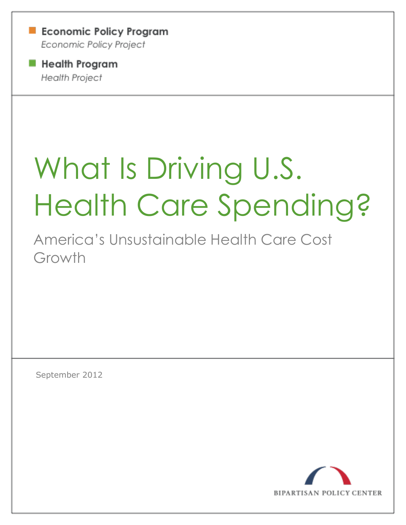**Example 2** Economic Policy Program Economic Policy Project

**Health Program Health Project** 

# What Is Driving U.S. Health Care Spending?

America's Unsustainable Health Care Cost Growth

September 2012

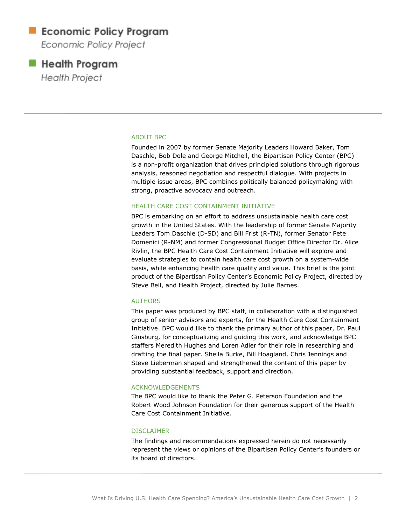### **Economic Policy Program**

Economic Policy Project

### **Health Program**

**Health Project** 

#### ABOUT BPC

Founded in 2007 by former Senate Majority Leaders Howard Baker, Tom Daschle, Bob Dole and George Mitchell, the Bipartisan Policy Center (BPC) is a non-profit organization that drives principled solutions through rigorous analysis, reasoned negotiation and respectful dialogue. With projects in multiple issue areas, BPC combines politically balanced policymaking with strong, proactive advocacy and outreach.

#### HEALTH CARE COST CONTAINMENT INITIATIVE

BPC is embarking on an effort to address unsustainable health care cost growth in the United States. With the leadership of former Senate Majority Leaders Tom Daschle (D-SD) and Bill Frist (R-TN), former Senator Pete Domenici (R-NM) and former Congressional Budget Office Director Dr. Alice Rivlin, the BPC Health Care Cost Containment Initiative will explore and evaluate strategies to contain health care cost growth on a system-wide basis, while enhancing health care quality and value. This brief is the joint product of the Bipartisan Policy Center's Economic Policy Project, directed by Steve Bell, and Health Project, directed by Julie Barnes.

#### AUTHORS

This paper was produced by BPC staff, in collaboration with a distinguished group of senior advisors and experts, for the Health Care Cost Containment Initiative. BPC would like to thank the primary author of this paper, Dr. Paul Ginsburg, for conceptualizing and guiding this work, and acknowledge BPC staffers Meredith Hughes and Loren Adler for their role in researching and drafting the final paper. Sheila Burke, Bill Hoagland, Chris Jennings and Steve Lieberman shaped and strengthened the content of this paper by providing substantial feedback, support and direction.

#### ACKNOWLEDGEMENTS

The BPC would like to thank the Peter G. Peterson Foundation and the Robert Wood Johnson Foundation for their generous support of the Health Care Cost Containment Initiative.

#### DISCLAIMER

The findings and recommendations expressed herein do not necessarily represent the views or opinions of the Bipartisan Policy Center's founders or its board of directors.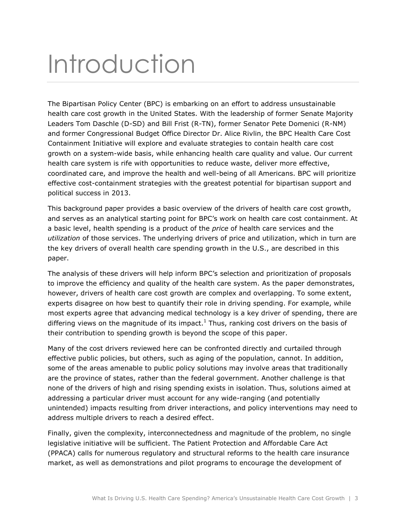## Introduction

The Bipartisan Policy Center (BPC) is embarking on an effort to address unsustainable health care cost growth in the United States. With the leadership of former Senate Majority Leaders Tom Daschle (D-SD) and Bill Frist (R-TN), former Senator Pete Domenici (R-NM) and former Congressional Budget Office Director Dr. Alice Rivlin, the BPC Health Care Cost Containment Initiative will explore and evaluate strategies to contain health care cost growth on a system-wide basis, while enhancing health care quality and value. Our current health care system is rife with opportunities to reduce waste, deliver more effective, coordinated care, and improve the health and well-being of all Americans. BPC will prioritize effective cost-containment strategies with the greatest potential for bipartisan support and political success in 2013.

This background paper provides a basic overview of the drivers of health care cost growth, and serves as an analytical starting point for BPC's work on health care cost containment. At a basic level, health spending is a product of the *price* of health care services and the *utilization* of those services. The underlying drivers of price and utilization, which in turn are the key drivers of overall health care spending growth in the U.S., are described in this paper.

The analysis of these drivers will help inform BPC's selection and prioritization of proposals to improve the efficiency and quality of the health care system. As the paper demonstrates, however, drivers of health care cost growth are complex and overlapping. To some extent, experts disagree on how best to quantify their role in driving spending. For example, while most experts agree that advancing medical technology is a key driver of spending, there are differing views on the magnitude of its impact.<sup>1</sup> Thus, ranking cost drivers on the basis of their contribution to spending growth is beyond the scope of this paper.

Many of the cost drivers reviewed here can be confronted directly and curtailed through effective public policies, but others, such as aging of the population, cannot. In addition, some of the areas amenable to public policy solutions may involve areas that traditionally are the province of states, rather than the federal government. Another challenge is that none of the drivers of high and rising spending exists in isolation. Thus, solutions aimed at addressing a particular driver must account for any wide-ranging (and potentially unintended) impacts resulting from driver interactions, and policy interventions may need to address multiple drivers to reach a desired effect.

Finally, given the complexity, interconnectedness and magnitude of the problem, no single legislative initiative will be sufficient. The Patient Protection and Affordable Care Act (PPACA) calls for numerous regulatory and structural reforms to the health care insurance market, as well as demonstrations and pilot programs to encourage the development of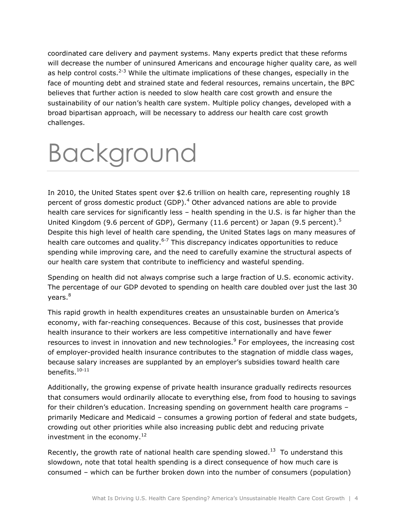coordinated care delivery and payment systems. Many experts predict that these reforms will decrease the number of uninsured Americans and encourage higher quality care, as well as help control costs.<sup>2-3</sup> While the ultimate implications of these changes, especially in the face of mounting debt and strained state and federal resources, remains uncertain, the BPC believes that further action is needed to slow health care cost growth and ensure the sustainability of our nation's health care system. Multiple policy changes, developed with a broad bipartisan approach, will be necessary to address our health care cost growth challenges.

## Background

In 2010, the United States spent over \$2.6 trillion on health care, representing roughly 18 percent of gross domestic product (GDP). $4$  Other advanced nations are able to provide health care services for significantly less – health spending in the U.S. is far higher than the United Kingdom (9.6 percent of GDP), Germany (11.6 percent) or Japan (9.5 percent).<sup>5</sup> Despite this high level of health care spending, the United States lags on many measures of health care outcomes and quality. $6-7$  This discrepancy indicates opportunities to reduce spending while improving care, and the need to carefully examine the structural aspects of our health care system that contribute to inefficiency and wasteful spending.

Spending on health did not always comprise such a large fraction of U.S. economic activity. The percentage of our GDP devoted to spending on health care doubled over just the last 30 years. 8

This rapid growth in health expenditures creates an unsustainable burden on America's economy, with far-reaching consequences. Because of this cost, businesses that provide health insurance to their workers are less competitive internationally and have fewer resources to invest in innovation and new technologies.<sup>9</sup> For employees, the increasing cost of employer-provided health insurance contributes to the stagnation of middle class wages, because salary increases are supplanted by an employer's subsidies toward health care benefits. 10-11

Additionally, the growing expense of private health insurance gradually redirects resources that consumers would ordinarily allocate to everything else, from food to housing to savings for their children's education. Increasing spending on government health care programs – primarily Medicare and Medicaid – consumes a growing portion of federal and state budgets, crowding out other priorities while also increasing public debt and reducing private investment in the economy.<sup>12</sup>

Recently, the growth rate of national health care spending slowed.<sup>13</sup> To understand this slowdown, note that total health spending is a direct consequence of how much care is consumed – which can be further broken down into the number of consumers (population)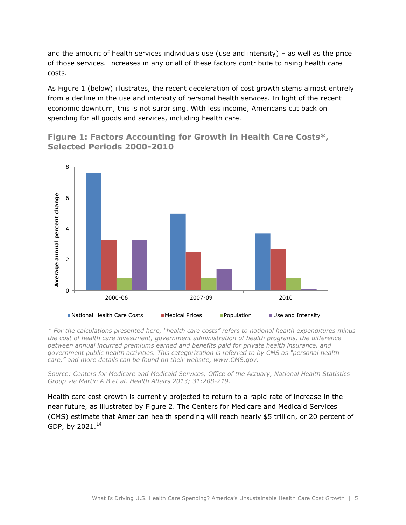and the amount of health services individuals use (use and intensity) – as well as the price of those services. Increases in any or all of these factors contribute to rising health care costs.

As Figure 1 (below) illustrates, the recent deceleration of cost growth stems almost entirely from a decline in the use and intensity of personal health services. In light of the recent economic downturn, this is not surprising. With less income, Americans cut back on spending for all goods and services, including health care.





*\* For the calculations presented here, "health care costs" refers to national health expenditures minus the cost of health care investment, government administration of health programs, the difference between annual incurred premiums earned and benefits paid for private health insurance, and government public health activities. This categorization is referred to by CMS as "personal health care," and more details can be found on their website, www.CMS.gov.* 

*Source: Centers for Medicare and Medicaid Services, Office of the Actuary, National Health Statistics Group via Martin A B et al. Health Affairs 2013; 31:208-219.*

Health care cost growth is currently projected to return to a rapid rate of increase in the near future, as illustrated by Figure 2. The Centers for Medicare and Medicaid Services (CMS) estimate that American health spending will reach nearly \$5 trillion, or 20 percent of GDP, by 2021.<sup>14</sup>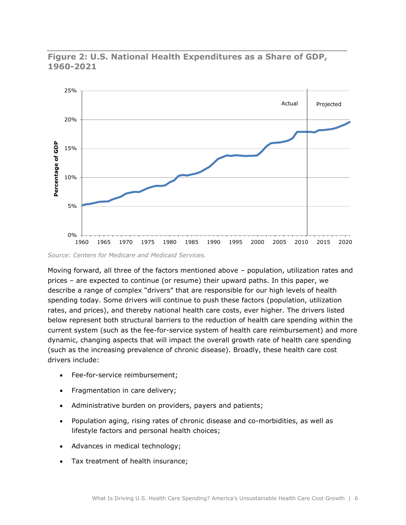

#### **Figure 2: U.S. National Health Expenditures as a Share of GDP, 1960-2021**

*Source: Centers for Medicare and Medicaid Services.*

Moving forward, all three of the factors mentioned above – population, utilization rates and prices – are expected to continue (or resume) their upward paths. In this paper, we describe a range of complex "drivers" that are responsible for our high levels of health spending today. Some drivers will continue to push these factors (population, utilization rates, and prices), and thereby national health care costs, ever higher. The drivers listed below represent both structural barriers to the reduction of health care spending within the current system (such as the fee-for-service system of health care reimbursement) and more dynamic, changing aspects that will impact the overall growth rate of health care spending (such as the increasing prevalence of chronic disease). Broadly, these health care cost drivers include:

- Fee-for-service reimbursement;
- Fragmentation in care delivery;
- Administrative burden on providers, payers and patients;
- Population aging, rising rates of chronic disease and co-morbidities, as well as lifestyle factors and personal health choices;
- Advances in medical technology;
- Tax treatment of health insurance;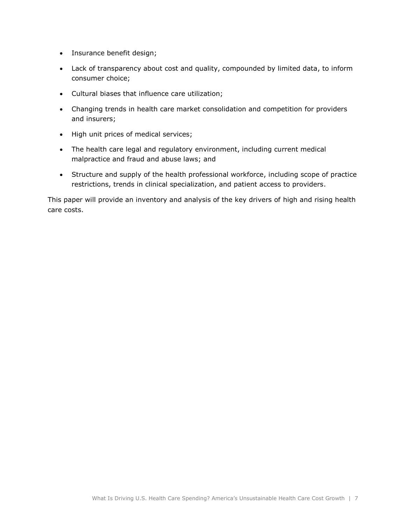- Insurance benefit design;
- Lack of transparency about cost and quality, compounded by limited data, to inform consumer choice;
- Cultural biases that influence care utilization;
- Changing trends in health care market consolidation and competition for providers and insurers;
- High unit prices of medical services;
- The health care legal and regulatory environment, including current medical malpractice and fraud and abuse laws; and
- Structure and supply of the health professional workforce, including scope of practice restrictions, trends in clinical specialization, and patient access to providers.

This paper will provide an inventory and analysis of the key drivers of high and rising health care costs.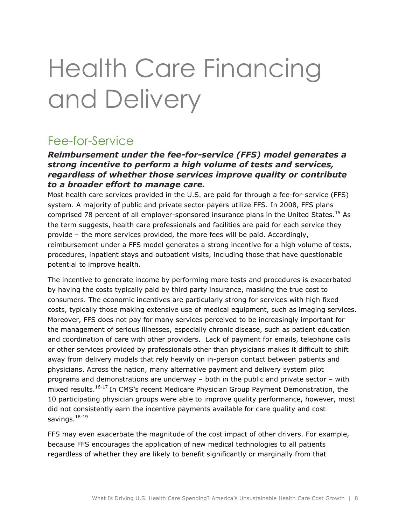## Health Care Financing and Delivery

## Fee-for-Service

#### *Reimbursement under the fee-for-service (FFS) model generates a strong incentive to perform a high volume of tests and services, regardless of whether those services improve quality or contribute to a broader effort to manage care.*

Most health care services provided in the U.S. are paid for through a fee-for-service (FFS) system. A majority of public and private sector payers utilize FFS. In 2008, FFS plans comprised 78 percent of all employer-sponsored insurance plans in the United States.<sup>15</sup> As the term suggests, health care professionals and facilities are paid for each service they provide – the more services provided, the more fees will be paid. Accordingly, reimbursement under a FFS model generates a strong incentive for a high volume of tests, procedures, inpatient stays and outpatient visits, including those that have questionable potential to improve health.

The incentive to generate income by performing more tests and procedures is exacerbated by having the costs typically paid by third party insurance, masking the true cost to consumers. The economic incentives are particularly strong for services with high fixed costs, typically those making extensive use of medical equipment, such as imaging services. Moreover, FFS does not pay for many services perceived to be increasingly important for the management of serious illnesses, especially chronic disease, such as patient education and coordination of care with other providers. Lack of payment for emails, telephone calls or other services provided by professionals other than physicians makes it difficult to shift away from delivery models that rely heavily on in-person contact between patients and physicians. Across the nation, many alternative payment and delivery system pilot programs and demonstrations are underway – both in the public and private sector – with mixed results.<sup>16-17</sup> In CMS's recent Medicare Physician Group Payment Demonstration, the 10 participating physician groups were able to improve quality performance, however, most did not consistently earn the incentive payments available for care quality and cost savings. $^{\rm 18\text{-}19}$ 

FFS may even exacerbate the magnitude of the cost impact of other drivers. For example, because FFS encourages the application of new medical technologies to all patients regardless of whether they are likely to benefit significantly or marginally from that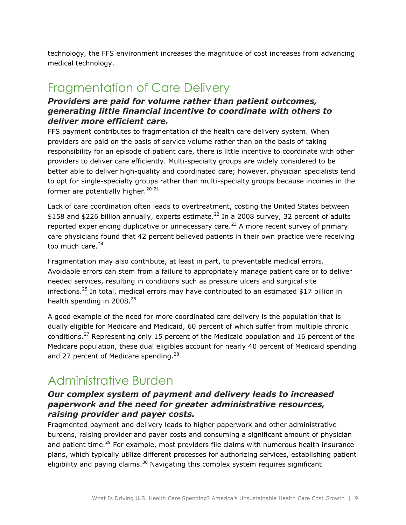technology, the FFS environment increases the magnitude of cost increases from advancing medical technology.

### Fragmentation of Care Delivery

#### *Providers are paid for volume rather than patient outcomes, generating little financial incentive to coordinate with others to deliver more efficient care.*

FFS payment contributes to fragmentation of the health care delivery system. When providers are paid on the basis of service volume rather than on the basis of taking responsibility for an episode of patient care, there is little incentive to coordinate with other providers to deliver care efficiently. Multi-specialty groups are widely considered to be better able to deliver high-quality and coordinated care; however, physician specialists tend to opt for single-specialty groups rather than multi-specialty groups because incomes in the former are potentially higher. $20-21$ 

Lack of care coordination often leads to overtreatment, costing the United States between \$158 and \$226 billion annually, experts estimate.<sup>22</sup> In a 2008 survey, 32 percent of adults reported experiencing duplicative or unnecessary care.<sup>23</sup> A more recent survey of primary care physicians found that 42 percent believed patients in their own practice were receiving too much care. $24$ 

Fragmentation may also contribute, at least in part, to preventable medical errors. Avoidable errors can stem from a failure to appropriately manage patient care or to deliver needed services, resulting in conditions such as pressure ulcers and surgical site infections.<sup>25</sup> In total, medical errors may have contributed to an estimated \$17 billion in health spending in 2008.<sup>26</sup>

A good example of the need for more coordinated care delivery is the population that is dually eligible for Medicare and Medicaid, 60 percent of which suffer from multiple chronic conditions.<sup>27</sup> Representing only 15 percent of the Medicaid population and 16 percent of the Medicare population, these dual eligibles account for nearly 40 percent of Medicaid spending and 27 percent of Medicare spending. $^{28}$ 

### Administrative Burden

#### *Our complex system of payment and delivery leads to increased paperwork and the need for greater administrative resources, raising provider and payer costs.*

Fragmented payment and delivery leads to higher paperwork and other administrative burdens, raising provider and payer costs and consuming a significant amount of physician and patient time.<sup>29</sup> For example, most providers file claims with numerous health insurance plans, which typically utilize different processes for authorizing services, establishing patient eligibility and paying claims.<sup>30</sup> Navigating this complex system requires significant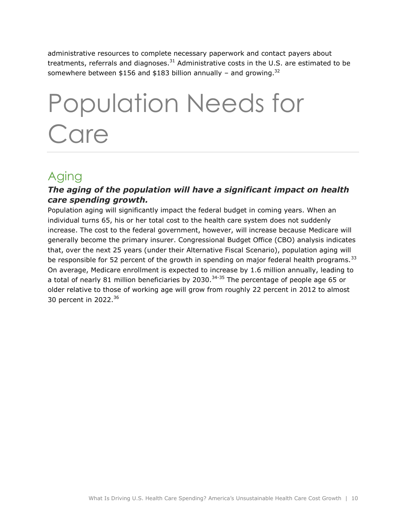administrative resources to complete necessary paperwork and contact payers about treatments, referrals and diagnoses.<sup>31</sup> Administrative costs in the U.S. are estimated to be somewhere between \$156 and \$183 billion annually – and growing.<sup>32</sup>

## Population Needs for **Care**

## Aging

#### *The aging of the population will have a significant impact on health care spending growth.*

Population aging will significantly impact the federal budget in coming years. When an individual turns 65, his or her total cost to the health care system does not suddenly increase. The cost to the federal government, however, will increase because Medicare will generally become the primary insurer. Congressional Budget Office (CBO) analysis indicates that, over the next 25 years (under their Alternative Fiscal Scenario), population aging will be responsible for 52 percent of the growth in spending on major federal health programs.<sup>33</sup> On average, Medicare enrollment is expected to increase by 1.6 million annually, leading to a total of nearly 81 million beneficiaries by 2030. $34-35$  The percentage of people age 65 or older relative to those of working age will grow from roughly 22 percent in 2012 to almost 30 percent in 2022.<sup>36</sup>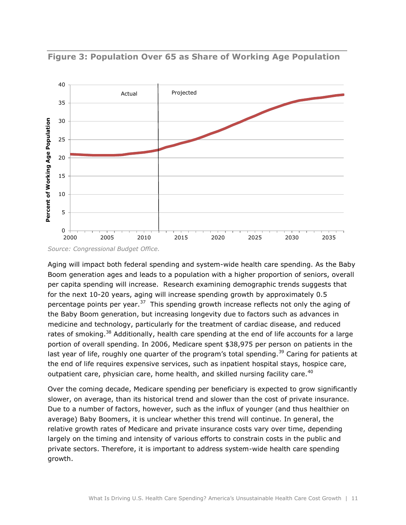

**Figure 3: Population Over 65 as Share of Working Age Population**

*Source: Congressional Budget Office.*

Aging will impact both federal spending and system-wide health care spending. As the Baby Boom generation ages and leads to a population with a higher proportion of seniors, overall per capita spending will increase. Research examining demographic trends suggests that for the next 10-20 years, aging will increase spending growth by approximately 0.5 percentage points per year.<sup>37</sup> This spending growth increase reflects not only the aging of the Baby Boom generation, but increasing longevity due to factors such as advances in medicine and technology, particularly for the treatment of cardiac disease, and reduced rates of smoking.<sup>38</sup> Additionally, health care spending at the end of life accounts for a large portion of overall spending. In 2006, Medicare spent \$38,975 per person on patients in the last year of life, roughly one quarter of the program's total spending.<sup>39</sup> Caring for patients at the end of life requires expensive services, such as inpatient hospital stays, hospice care, outpatient care, physician care, home health, and skilled nursing facility care.<sup>40</sup>

Over the coming decade, Medicare spending per beneficiary is expected to grow significantly slower, on average, than its historical trend and slower than the cost of private insurance. Due to a number of factors, however, such as the influx of younger (and thus healthier on average) Baby Boomers, it is unclear whether this trend will continue. In general, the relative growth rates of Medicare and private insurance costs vary over time, depending largely on the timing and intensity of various efforts to constrain costs in the public and private sectors. Therefore, it is important to address system-wide health care spending growth.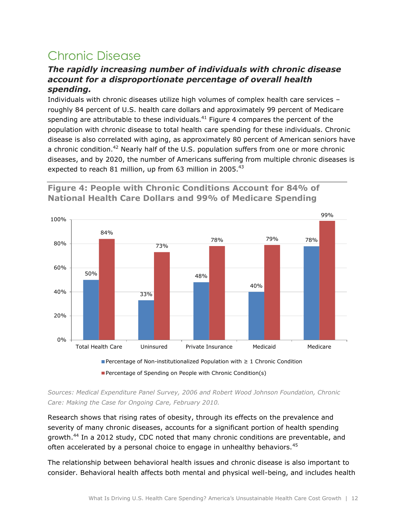## Chronic Disease

#### *The rapidly increasing number of individuals with chronic disease account for a disproportionate percentage of overall health spending.*

Individuals with chronic diseases utilize high volumes of complex health care services – roughly 84 percent of U.S. health care dollars and approximately 99 percent of Medicare spending are attributable to these individuals. $41$  Figure 4 compares the percent of the population with chronic disease to total health care spending for these individuals. Chronic disease is also correlated with aging, as approximately 80 percent of American seniors have a chronic condition.<sup>42</sup> Nearly half of the U.S. population suffers from one or more chronic diseases, and by 2020, the number of Americans suffering from multiple chronic diseases is expected to reach 81 million, up from 63 million in 2005. $^{43}$ 

**Figure 4: People with Chronic Conditions Account for 84% of National Health Care Dollars and 99% of Medicare Spending**



*Sources: Medical Expenditure Panel Survey, 2006 and Robert Wood Johnson Foundation, Chronic Care: Making the Case for Ongoing Care, February 2010.*

Research shows that rising rates of obesity, through its effects on the prevalence and severity of many chronic diseases, accounts for a significant portion of health spending growth.<sup>44</sup> In a 2012 study, CDC noted that many chronic conditions are preventable, and often accelerated by a personal choice to engage in unhealthy behaviors.<sup>45</sup>

The relationship between behavioral health issues and chronic disease is also important to consider. Behavioral health affects both mental and physical well-being, and includes health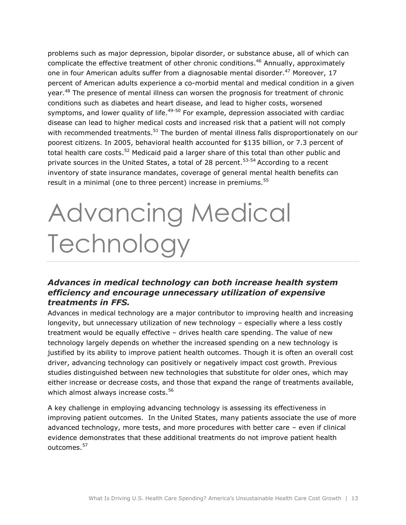problems such as major depression, bipolar disorder, or substance abuse, all of which can complicate the effective treatment of other chronic conditions. <sup>46</sup> Annually, approximately one in four American adults suffer from a diagnosable mental disorder.<sup>47</sup> Moreover, 17 percent of American adults experience a co-morbid mental and medical condition in a given year.<sup>48</sup> The presence of mental illness can worsen the prognosis for treatment of chronic conditions such as diabetes and heart disease, and lead to higher costs, worsened symptoms, and lower quality of life. $49-50$  For example, depression associated with cardiac disease can lead to higher medical costs and increased risk that a patient will not comply with recommended treatments.<sup>51</sup> The burden of mental illness falls disproportionately on our poorest citizens. In 2005, behavioral health accounted for \$135 billion, or 7.3 percent of total health care costs.<sup>52</sup> Medicaid paid a larger share of this total than other public and private sources in the United States, a total of 28 percent.<sup>53-54</sup> According to a recent inventory of state insurance mandates, coverage of general mental health benefits can result in a minimal (one to three percent) increase in premiums.<sup>55</sup>

## Advancing Medical **Technology**

#### *Advances in medical technology can both increase health system efficiency and encourage unnecessary utilization of expensive treatments in FFS.*

Advances in medical technology are a major contributor to improving health and increasing longevity, but unnecessary utilization of new technology – especially where a less costly treatment would be equally effective – drives health care spending. The value of new technology largely depends on whether the increased spending on a new technology is justified by its ability to improve patient health outcomes. Though it is often an overall cost driver, advancing technology can positively or negatively impact cost growth. Previous studies distinguished between new technologies that substitute for older ones, which may either increase or decrease costs, and those that expand the range of treatments available, which almost always increase costs.<sup>56</sup>

A key challenge in employing advancing technology is assessing its effectiveness in improving patient outcomes. In the United States, many patients associate the use of more advanced technology, more tests, and more procedures with better care – even if clinical evidence demonstrates that these additional treatments do not improve patient health outcomes.<sup>57</sup>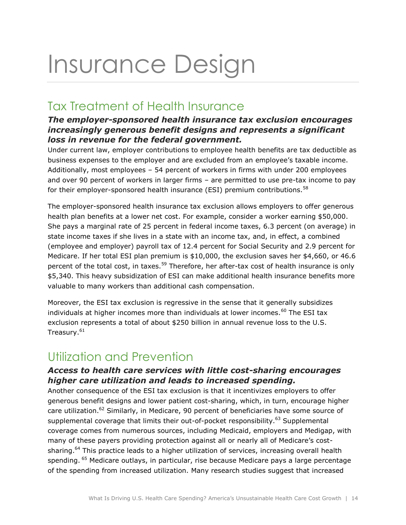## Insurance Design

## Tax Treatment of Health Insurance

#### *The employer-sponsored health insurance tax exclusion encourages increasingly generous benefit designs and represents a significant loss in revenue for the federal government.*

Under current law, employer contributions to employee health benefits are tax deductible as business expenses to the employer and are excluded from an employee's taxable income. Additionally, most employees – 54 percent of workers in firms with under 200 employees and over 90 percent of workers in larger firms – are permitted to use pre-tax income to pay for their employer-sponsored health insurance (ESI) premium contributions.<sup>58</sup>

The employer-sponsored health insurance tax exclusion allows employers to offer generous health plan benefits at a lower net cost. For example, consider a worker earning \$50,000. She pays a marginal rate of 25 percent in federal income taxes, 6.3 percent (on average) in state income taxes if she lives in a state with an income tax, and, in effect, a combined (employee and employer) payroll tax of 12.4 percent for Social Security and 2.9 percent for Medicare. If her total ESI plan premium is \$10,000, the exclusion saves her \$4,660, or 46.6 percent of the total cost, in taxes.<sup>59</sup> Therefore, her after-tax cost of health insurance is only \$5,340. This heavy subsidization of ESI can make additional health insurance benefits more valuable to many workers than additional cash compensation.

Moreover, the ESI tax exclusion is regressive in the sense that it generally subsidizes individuals at higher incomes more than individuals at lower incomes. $^{60}$  The ESI tax exclusion represents a total of about \$250 billion in annual revenue loss to the U.S. Treasury.<sup>61</sup>

## Utilization and Prevention

#### *Access to health care services with little cost-sharing encourages higher care utilization and leads to increased spending.*

Another consequence of the ESI tax exclusion is that it incentivizes employers to offer generous benefit designs and lower patient cost-sharing, which, in turn, encourage higher care utilization.<sup>62</sup> Similarly, in Medicare, 90 percent of beneficiaries have some source of supplemental coverage that limits their out-of-pocket responsibility.<sup>63</sup> Supplemental coverage comes from numerous sources, including Medicaid, employers and Medigap, with many of these payers providing protection against all or nearly all of Medicare's costsharing.<sup>64</sup> This practice leads to a higher utilization of services, increasing overall health spending. <sup>65</sup> Medicare outlays, in particular, rise because Medicare pays a large percentage of the spending from increased utilization. Many research studies suggest that increased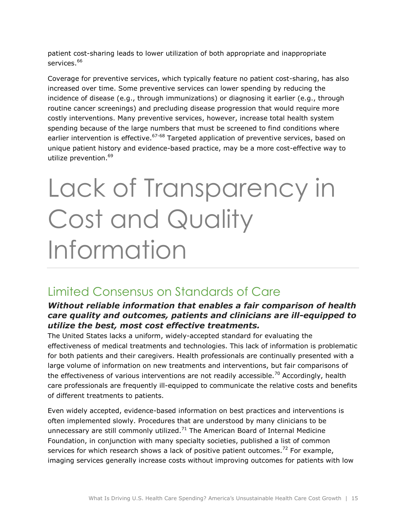patient cost-sharing leads to lower utilization of both appropriate and inappropriate services.<sup>66</sup>

Coverage for preventive services, which typically feature no patient cost-sharing, has also increased over time. Some preventive services can lower spending by reducing the incidence of disease (e.g., through immunizations) or diagnosing it earlier (e.g., through routine cancer screenings) and precluding disease progression that would require more costly interventions. Many preventive services, however, increase total health system spending because of the large numbers that must be screened to find conditions where earlier intervention is effective.<sup>67-68</sup> Targeted application of preventive services, based on unique patient history and evidence-based practice, may be a more cost-effective way to utilize prevention.<sup>69</sup>

## Lack of Transparency in Cost and Quality Information

### Limited Consensus on Standards of Care

#### *Without reliable information that enables a fair comparison of health care quality and outcomes, patients and clinicians are ill-equipped to utilize the best, most cost effective treatments.*

The United States lacks a uniform, widely-accepted standard for evaluating the effectiveness of medical treatments and technologies. This lack of information is problematic for both patients and their caregivers. Health professionals are continually presented with a large volume of information on new treatments and interventions, but fair comparisons of the effectiveness of various interventions are not readily accessible.<sup>70</sup> Accordingly, health care professionals are frequently ill-equipped to communicate the relative costs and benefits of different treatments to patients.

Even widely accepted, evidence-based information on best practices and interventions is often implemented slowly. Procedures that are understood by many clinicians to be unnecessary are still commonly utilized.<sup>71</sup> The American Board of Internal Medicine Foundation, in conjunction with many specialty societies, published a list of common services for which research shows a lack of positive patient outcomes.<sup>72</sup> For example, imaging services generally increase costs without improving outcomes for patients with low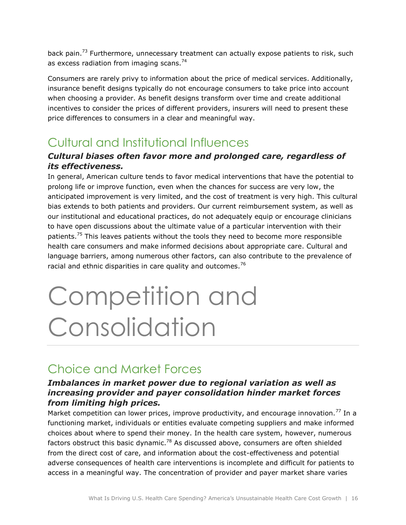back pain.<sup>73</sup> Furthermore, unnecessary treatment can actually expose patients to risk, such as excess radiation from imaging scans.<sup>74</sup>

Consumers are rarely privy to information about the price of medical services. Additionally, insurance benefit designs typically do not encourage consumers to take price into account when choosing a provider. As benefit designs transform over time and create additional incentives to consider the prices of different providers, insurers will need to present these price differences to consumers in a clear and meaningful way.

## Cultural and Institutional Influences

#### *Cultural biases often favor more and prolonged care, regardless of its effectiveness.*

In general, American culture tends to favor medical interventions that have the potential to prolong life or improve function, even when the chances for success are very low, the anticipated improvement is very limited, and the cost of treatment is very high. This cultural bias extends to both patients and providers. Our current reimbursement system, as well as our institutional and educational practices, do not adequately equip or encourage clinicians to have open discussions about the ultimate value of a particular intervention with their patients.<sup>75</sup> This leaves patients without the tools they need to become more responsible health care consumers and make informed decisions about appropriate care. Cultural and language barriers, among numerous other factors, can also contribute to the prevalence of racial and ethnic disparities in care quality and outcomes.<sup>76</sup>

## Competition and Consolidation

## Choice and Market Forces

#### *Imbalances in market power due to regional variation as well as increasing provider and payer consolidation hinder market forces from limiting high prices.*

Market competition can lower prices, improve productivity, and encourage innovation.<sup>77</sup> In a functioning market, individuals or entities evaluate competing suppliers and make informed choices about where to spend their money. In the health care system, however, numerous factors obstruct this basic dynamic.<sup>78</sup> As discussed above, consumers are often shielded from the direct cost of care, and information about the cost-effectiveness and potential adverse consequences of health care interventions is incomplete and difficult for patients to access in a meaningful way. The concentration of provider and payer market share varies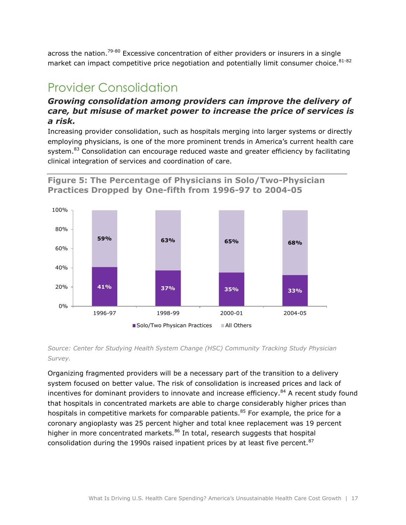across the nation.<sup>79-80</sup> Excessive concentration of either providers or insurers in a single market can impact competitive price negotiation and potentially limit consumer choice.<sup>81-82</sup>

## Provider Consolidation

#### *Growing consolidation among providers can improve the delivery of care, but misuse of market power to increase the price of services is a risk.*

Increasing provider consolidation, such as hospitals merging into larger systems or directly employing physicians, is one of the more prominent trends in America's current health care system.<sup>83</sup> Consolidation can encourage reduced waste and greater efficiency by facilitating clinical integration of services and coordination of care.





#### *Source: Center for Studying Health System Change (HSC) Community Tracking Study Physician Survey.*

Organizing fragmented providers will be a necessary part of the transition to a delivery system focused on better value. The risk of consolidation is increased prices and lack of incentives for dominant providers to innovate and increase efficiency.<sup>84</sup> A recent study found that hospitals in concentrated markets are able to charge considerably higher prices than hospitals in competitive markets for comparable patients.<sup>85</sup> For example, the price for a coronary angioplasty was 25 percent higher and total knee replacement was 19 percent higher in more concentrated markets.<sup>86</sup> In total, research suggests that hospital consolidation during the 1990s raised inpatient prices by at least five percent. $87$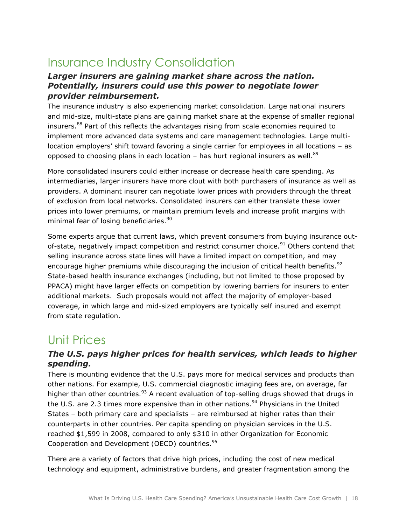## Insurance Industry Consolidation

#### *Larger insurers are gaining market share across the nation. Potentially, insurers could use this power to negotiate lower provider reimbursement.*

The insurance industry is also experiencing market consolidation. Large national insurers and mid-size, multi-state plans are gaining market share at the expense of smaller regional insurers.<sup>88</sup> Part of this reflects the advantages rising from scale economies required to implement more advanced data systems and care management technologies. Large multilocation employers' shift toward favoring a single carrier for employees in all locations – as opposed to choosing plans in each location – has hurt regional insurers as well.<sup>89</sup>

More consolidated insurers could either increase or decrease health care spending. As intermediaries, larger insurers have more clout with both purchasers of insurance as well as providers. A dominant insurer can negotiate lower prices with providers through the threat of exclusion from local networks. Consolidated insurers can either translate these lower prices into lower premiums, or maintain premium levels and increase profit margins with minimal fear of losing beneficiaries. 90

Some experts argue that current laws, which prevent consumers from buying insurance outof-state, negatively impact competition and restrict consumer choice.<sup>91</sup> Others contend that selling insurance across state lines will have a limited impact on competition, and may encourage higher premiums while discouraging the inclusion of critical health benefits.<sup>92</sup> State-based health insurance exchanges (including, but not limited to those proposed by PPACA) might have larger effects on competition by lowering barriers for insurers to enter additional markets. Such proposals would not affect the majority of employer-based coverage, in which large and mid-sized employers are typically self insured and exempt from state regulation.

### Unit Prices

#### *The U.S. pays higher prices for health services, which leads to higher spending.*

There is mounting evidence that the U.S. pays more for medical services and products than other nations. For example, U.S. commercial diagnostic imaging fees are, on average, far higher than other countries.<sup>93</sup> A recent evaluation of top-selling drugs showed that drugs in the U.S. are 2.3 times more expensive than in other nations.<sup>94</sup> Physicians in the United States – both primary care and specialists – are reimbursed at higher rates than their counterparts in other countries. Per capita spending on physician services in the U.S. reached \$1,599 in 2008, compared to only \$310 in other Organization for Economic Cooperation and Development (OECD) countries.<sup>95</sup>

There are a variety of factors that drive high prices, including the cost of new medical technology and equipment, administrative burdens, and greater fragmentation among the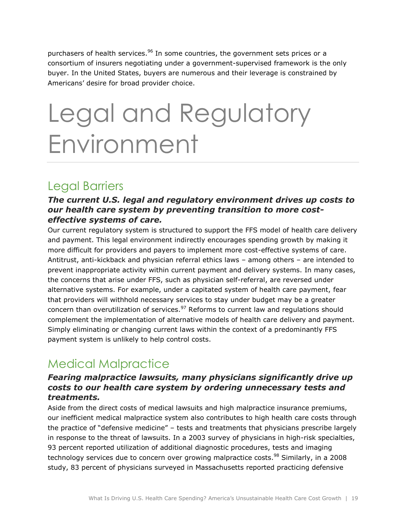purchasers of health services.<sup>96</sup> In some countries, the government sets prices or a consortium of insurers negotiating under a government-supervised framework is the only buyer. In the United States, buyers are numerous and their leverage is constrained by Americans' desire for broad provider choice.

## Legal and Regulatory Environment

### Legal Barriers

#### *The current U.S. legal and regulatory environment drives up costs to our health care system by preventing transition to more costeffective systems of care.*

Our current regulatory system is structured to support the FFS model of health care delivery and payment. This legal environment indirectly encourages spending growth by making it more difficult for providers and payers to implement more cost-effective systems of care. Antitrust, anti-kickback and physician referral ethics laws – among others – are intended to prevent inappropriate activity within current payment and delivery systems. In many cases, the concerns that arise under FFS, such as physician self-referral, are reversed under alternative systems. For example, under a capitated system of health care payment, fear that providers will withhold necessary services to stay under budget may be a greater concern than overutilization of services. $97$  Reforms to current law and regulations should complement the implementation of alternative models of health care delivery and payment. Simply eliminating or changing current laws within the context of a predominantly FFS payment system is unlikely to help control costs.

## Medical Malpractice

#### *Fearing malpractice lawsuits, many physicians significantly drive up costs to our health care system by ordering unnecessary tests and treatments.*

Aside from the direct costs of medical lawsuits and high malpractice insurance premiums, our inefficient medical malpractice system also contributes to high health care costs through the practice of "defensive medicine" – tests and treatments that physicians prescribe largely in response to the threat of lawsuits. In a 2003 survey of physicians in high-risk specialties, 93 percent reported utilization of additional diagnostic procedures, tests and imaging technology services due to concern over growing malpractice costs.<sup>98</sup> Similarly, in a 2008 study, 83 percent of physicians surveyed in Massachusetts reported practicing defensive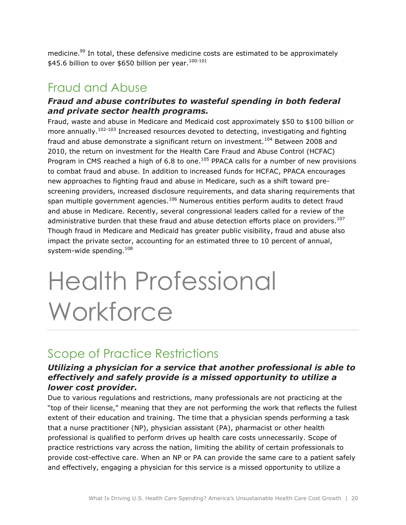medicine.<sup>99</sup> In total, these defensive medicine costs are estimated to be approximately  $$45.6$  billion to over \$650 billion per year.<sup>100-101</sup>

### Fraud and Abuse

#### *Fraud and abuse contributes to wasteful spending in both federal and private sector health programs.*

Fraud, waste and abuse in Medicare and Medicaid cost approximately \$50 to \$100 billion or more annually.<sup>102-103</sup> Increased resources devoted to detecting, investigating and fighting fraud and abuse demonstrate a significant return on investment.<sup>104</sup> Between 2008 and 2010, the return on investment for the Health Care Fraud and Abuse Control (HCFAC) Program in CMS reached a high of 6.8 to one. $105$  PPACA calls for a number of new provisions to combat fraud and abuse. In addition to increased funds for HCFAC, PPACA encourages new approaches to fighting fraud and abuse in Medicare, such as a shift toward prescreening providers, increased disclosure requirements, and data sharing requirements that span multiple government agencies.<sup>106</sup> Numerous entities perform audits to detect fraud and abuse in Medicare. Recently, several congressional leaders called for a review of the administrative burden that these fraud and abuse detection efforts place on providers.<sup>107</sup> Though fraud in Medicare and Medicaid has greater public visibility, fraud and abuse also impact the private sector, accounting for an estimated three to 10 percent of annual, system-wide spending.<sup>108</sup>

## Health Professional **Workforce**

### Scope of Practice Restrictions

#### *Utilizing a physician for a service that another professional is able to effectively and safely provide is a missed opportunity to utilize a lower cost provider.*

Due to various regulations and restrictions, many professionals are not practicing at the "top of their license," meaning that they are not performing the work that reflects the fullest extent of their education and training. The time that a physician spends performing a task that a nurse practitioner (NP), physician assistant (PA), pharmacist or other health professional is qualified to perform drives up health care costs unnecessarily. Scope of practice restrictions vary across the nation, limiting the ability of certain professionals to provide cost-effective care. When an NP or PA can provide the same care to a patient safely and effectively, engaging a physician for this service is a missed opportunity to utilize a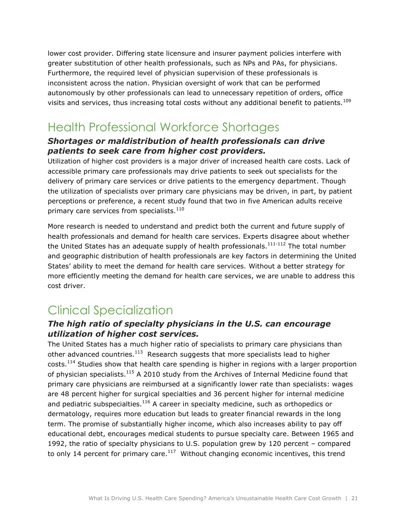lower cost provider. Differing state licensure and insurer payment policies interfere with greater substitution of other health professionals, such as NPs and PAs, for physicians. Furthermore, the required level of physician supervision of these professionals is inconsistent across the nation. Physician oversight of work that can be performed autonomously by other professionals can lead to unnecessary repetition of orders, office visits and services, thus increasing total costs without any additional benefit to patients.<sup>109</sup>

### Health Professional Workforce Shortages

#### *Shortages or maldistribution of health professionals can drive patients to seek care from higher cost providers.*

Utilization of higher cost providers is a major driver of increased health care costs. Lack of accessible primary care professionals may drive patients to seek out specialists for the delivery of primary care services or drive patients to the emergency department. Though the utilization of specialists over primary care physicians may be driven, in part, by patient perceptions or preference, a recent study found that two in five American adults receive primary care services from specialists.<sup>110</sup>

More research is needed to understand and predict both the current and future supply of health professionals and demand for health care services. Experts disagree about whether the United States has an adequate supply of health professionals.<sup>111-112</sup> The total number and geographic distribution of health professionals are key factors in determining the United States' ability to meet the demand for health care services. Without a better strategy for more efficiently meeting the demand for health care services, we are unable to address this cost driver.

## Clinical Specialization

#### *The high ratio of specialty physicians in the U.S. can encourage utilization of higher cost services.*

The United States has a much higher ratio of specialists to primary care physicians than other advanced countries. $^{113}$  Research suggests that more specialists lead to higher costs.<sup>114</sup> Studies show that health care spending is higher in regions with a larger proportion of physician specialists.<sup>115</sup> A 2010 study from the Archives of Internal Medicine found that primary care physicians are reimbursed at a significantly lower rate than specialists: wages are 48 percent higher for surgical specialties and 36 percent higher for internal medicine and pediatric subspecialties. $116$  A career in specialty medicine, such as orthopedics or dermatology, requires more education but leads to greater financial rewards in the long term. The promise of substantially higher income, which also increases ability to pay off educational debt, encourages medical students to pursue specialty care. Between 1965 and 1992, the ratio of specialty physicians to U.S. population grew by 120 percent – compared to only 14 percent for primary care. $^{117}$  Without changing economic incentives, this trend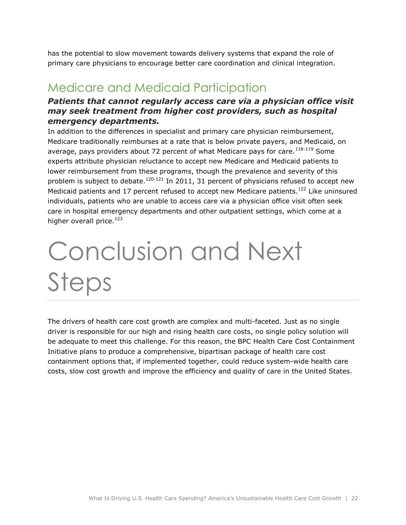has the potential to slow movement towards delivery systems that expand the role of primary care physicians to encourage better care coordination and clinical integration.

### Medicare and Medicaid Participation

#### *Patients that cannot regularly access care via a physician office visit may seek treatment from higher cost providers, such as hospital emergency departments.*

In addition to the differences in specialist and primary care physician reimbursement, Medicare traditionally reimburses at a rate that is below private payers, and Medicaid, on average, pays providers about 72 percent of what Medicare pays for care.<sup>118-119</sup> Some experts attribute physician reluctance to accept new Medicare and Medicaid patients to lower reimbursement from these programs, though the prevalence and severity of this problem is subject to debate.<sup>120-121</sup> In 2011, 31 percent of physicians refused to accept new Medicaid patients and 17 percent refused to accept new Medicare patients.<sup>122</sup> Like uninsured individuals, patients who are unable to access care via a physician office visit often seek care in hospital emergency departments and other outpatient settings, which come at a higher overall price. $123$ 

## Conclusion and Next Steps

The drivers of health care cost growth are complex and multi-faceted. Just as no single driver is responsible for our high and rising health care costs, no single policy solution will be adequate to meet this challenge. For this reason, the BPC Health Care Cost Containment Initiative plans to produce a comprehensive, bipartisan package of health care cost containment options that, if implemented together, could reduce system-wide health care costs, slow cost growth and improve the efficiency and quality of care in the United States.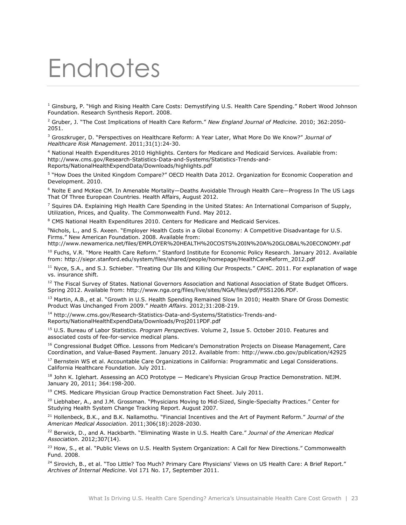## Endnotes

<sup>1</sup> Ginsburg, P. "High and Rising Health Care Costs: Demystifying U.S. Health Care Spending." Robert Wood Johnson Foundation. Research Synthesis Report. 2008.

<sup>2</sup> Gruber, J. "The Cost Implications of Health Care Reform." *New England Journal of Medicine.* 2010; 362:2050- 2051.

<sup>3</sup> Groszkruger, D. "Perspectives on Healthcare Reform: A Year Later, What More Do We Know?" *Journal of Healthcare Risk Management*. 2011;31(1):24-30.

<sup>4</sup> National Health Expenditures 2010 Highlights. Centers for Medicare and Medicaid Services. Available from: http://www.cms.gov/Research-Statistics-Data-and-Systems/Statistics-Trends-and-Reports/NationalHealthExpendData/Downloads/highlights.pdf

5 "How Does the United Kingdom Compare?" OECD Health Data 2012. Organization for Economic Cooperation and Development. 2010.

<sup>6</sup> Nolte E and McKee CM. In Amenable Mortality—Deaths Avoidable Through Health Care—Progress In The US Lags That Of Three European Countries. Health Affairs, August 2012.

<sup>7</sup> Squires DA. Explaining High Health Care Spending in the United States: An International Comparison of Supply, Utilization, Prices, and Quality. The Commonwealth Fund. May 2012.

<sup>8</sup> [CMS](http://www.cms.gov/Research-Statistics-Data-and-Systems/Statistics-Trends-and-Reports/NationalHealthExpendData/Downloads/Proj2011PDF.pdf) National Health Expenditures 2010. Centers for Medicare and Medicaid Services.

<sup>9</sup>Nichols, L., and S. Axeen. "Employer Health Costs in a Global Economy: A Competitive Disadvantage for U.S. Firms." New American Foundation. 2008. Available from:

<http://www.newamerica.net/files/EMPLOYER%20HEALTH%20COSTS%20IN%20A%20GLOBAL%20ECONOMY.pdf>

<sup>10</sup> Fuchs, V.R. "More Health Care Reform." Stanford Institute for Economic Policy Research. January 2012. Available from: [http://siepr.stanford.edu/system/files/shared/people/homepage/HealthCareReform\\_2012.pdf](http://siepr.stanford.edu/system/files/shared/people/homepage/HealthCareReform_2012.pdf)

<sup>11</sup> Nyce, S.A., and S.J. Schieber. "Treating Our Ills and Killing Our Prospects." CAHC. 2011. For explanation of wage vs. insurance shift.

<sup>12</sup> The Fiscal Survey of States. National Governors Association and National Association of State Budget Officers. Spring 2012. Available from: http://www.nga.org/files/live/sites/NGA/files/pdf/FSS1206.PDF.

<sup>13</sup> Martin, A.B., et al. "Growth in U.S. Health Spending Remained Slow In 2010; Health Share Of Gross Domestic Product Was Unchanged From 2009." *Health Affairs*. 2012;31:208-219.

<sup>14</sup> [http://www.cms.gov/Research-Statistics-Data-and-Systems/Statistics-Trends-and-](http://www.cms.gov/Research-Statistics-Data-and-Systems/Statistics-Trends-and-Reports/NationalHealthExpendData/Downloads/Proj2011PDF.pdf)[Reports/NationalHealthExpendData/Downloads/Proj2011PDF.pdf](http://www.cms.gov/Research-Statistics-Data-and-Systems/Statistics-Trends-and-Reports/NationalHealthExpendData/Downloads/Proj2011PDF.pdf)

<sup>15</sup> U.S. Bureau of Labor Statistics. *Program Perspectives*. Volume 2, Issue 5. October 2010. Features and associated costs of fee-for-service medical plans.

<sup>16</sup> Congressional Budget Office. Lessons from Medicare's Demonstration Projects on Disease Management, Care Coordination, and Value-Based Payment. January 2012. Available from: http://www.cbo.gov/publication/42925

<sup>17</sup> Bernstein WS et al. Accountable Care Organizations in California: Programmatic and Legal Considerations. California Healthcare Foundation. July 2011.

<sup>18</sup> John K. Iglehart. Assessing an ACO Prototype — Medicare's Physician Group Practice Demonstration. NEJM. January 20, 2011; 364:198-200.

<sup>19</sup> CMS. Medicare Physician Group Practice Demonstration Fact Sheet. July 2011.

<sup>20</sup> Liebhaber, A., and J.M. Grossman. "Physicians Moving to Mid-Sized, Single-Specialty Practices." Center for Studying Health System Change Tracking Report. August 2007.

<sup>21</sup> Hollenbeck, B.K., and B.K. Nallamothu. "Financial Incentives and the Art of Payment Reform." *Journal of the American Medical Association*. 2011;306(18):2028-2030.

<sup>22</sup> Berwick, D., and A. Hackbarth. "Eliminating Waste in U.S. Health Care." *Journal of the American Medical Association*. 2012;307(14).

<sup>23</sup> How, S., et al. "Public Views on U.S. Health System Organization: A Call for New Directions." Commonwealth Fund. 2008.

<sup>24</sup> Sirovich, B., et al. "Too Little? Too Much? Primary Care Physicians' Views on US Health Care: A Brief Report." *Archives of Internal Medicine*. Vol 171 No. 17, September 2011.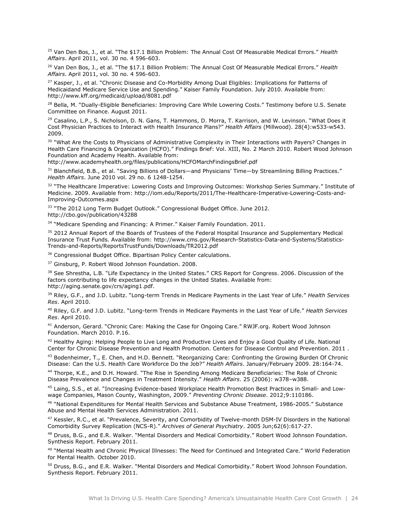<sup>25</sup> Van Den Bos, J., et al. "The \$17.1 Billion Problem: The Annual Cost Of Measurable Medical Errors." *Health Affairs*. April 2011, vol. 30 no. 4 596-603.

<sup>26</sup> Van Den Bos, J., et al. "The \$17.1 Billion Problem: The Annual Cost Of Measurable Medical Errors." *Health Affairs*. April 2011, vol. 30 no. 4 596-603.

<sup>27</sup> Kasper, J., et al. "Chronic Disease and Co-Morbidity Among Dual Eligibles: Implications for Patterns of Medicaidand Medicare Service Use and Spending." Kaiser Family Foundation. July 2010. Available from: <http://www.kff.org/medicaid/upload/8081.pdf>

<sup>28</sup> Bella, M. "Dually-Eligible Beneficiaries: Improving Care While Lowering Costs." Testimony before U.S. Senate Committee on Finance. August 2011.

<sup>29</sup> Casalino, L.P., S. Nicholson, D. N. Gans, T. Hammons, D. Morra, T. Karrison, and W. Levinson. "What Does it Cost Physician Practices to Interact with Health Insurance Plans?" *Health Affairs* (Millwood). 28(4):w533-w543. 2009.

<sup>30</sup> "What Are the Costs to Physicians of Administrative Complexity in Their Interactions with Payers? Changes in Health Care Financing & Organization (HCFO)." Findings Brief: Vol. XIII, No. 2 March 2010. Robert Wood Johnson Foundation and Academy Health. Available from:

<http://www.academyhealth.org/files/publications/HCFOMarchFindingsBrief.pdf>

<sup>31</sup> Blanchfield, B.B., et al. "Saving Billions of Dollars—and Physicians' Time—by Streamlining Billing Practices." *Health Affairs*. June 2010 vol. 29 no. 6 1248-1254.

<sup>32</sup> "The Healthcare Imperative: Lowering Costs and Improving Outcomes: Workshop Series Summary." Institute of Medicine. 2009. Available from: [http://iom.edu/Reports/2011/The-Healthcare-Imperative-Lowering-Costs-and-](http://iom.edu/Reports/2011/The-Healthcare-Imperative-Lowering-Costs-and-Improving-Outcomes.aspx)[Improving-Outcomes.aspx](http://iom.edu/Reports/2011/The-Healthcare-Imperative-Lowering-Costs-and-Improving-Outcomes.aspx)

<sup>33</sup> "The 2012 Long Term Budget Outlook." Congressional Budget Office. June 2012. <http://cbo.gov/publication/43288>

<sup>34</sup> "Medicare Spending and Financing: A Primer." Kaiser Family Foundation. 2011.

<sup>35</sup> 2012 Annual Report of the Boards of Trustees of the Federal Hospital Insurance and Supplementary Medical Insurance Trust Funds. Available from: [http://www.cms.gov/Research-Statistics-Data-and-Systems/Statistics-](http://www.cms.gov/Research-Statistics-Data-and-Systems/Statistics-Trends-and-Reports/ReportsTrustFunds/Downloads/TR2012.pdf)[Trends-and-Reports/ReportsTrustFunds/Downloads/TR2012.pdf](http://www.cms.gov/Research-Statistics-Data-and-Systems/Statistics-Trends-and-Reports/ReportsTrustFunds/Downloads/TR2012.pdf)

<sup>36</sup> Congressional Budget Office. Bipartisan Policy Center calculations.

<sup>37</sup> Ginsburg, P. Robert Wood Johnson Foundation. 2008.

<sup>38</sup> See Shrestha, L.B. "Life Expectancy in the United States." CRS Report for Congress. 2006. Discussion of the factors contributing to life expectancy changes in the United States. Available from: [http://aging.senate.gov/crs/aging1.pdf.](http://aging.senate.gov/crs/aging1.pdf)

<sup>39</sup> Riley, G.F., and J.D. Lubitz. "Long-term Trends in Medicare Payments in the Last Year of Life." *Health Services Res*. April 2010.

<sup>40</sup> Riley, G.F. and J.D. Lubitz. "Long-term Trends in Medicare Payments in the Last Year of Life." *Health Services Res*. April 2010.

<sup>41</sup> Anderson, Gerard. "Chronic Care: Making the Case for Ongoing Care." RWJF.org. Robert Wood Johnson Foundation. March 2010. P.16.

<sup>42</sup> Healthy Aging: Helping People to Live Long and Productive Lives and Enjoy a Good Quality of Life. National Center for Chronic Disease Prevention and Health Promotion. Centers for Disease Control and Prevention. 2011 .

43 Bodenheimer, T., E. Chen, and H.D. Bennett. "Reorganizing Care: Confronting the Growing Burden Of Chronic Disease: Can the U.S. Health Care Workforce Do the Job?" *Health Affairs*. January/February 2009. 28:164-74.

<sup>44</sup> Thorpe, K.E., and D.H. Howard. "The Rise in Spending Among Medicare Beneficiaries: The Role of Chronic Disease Prevalence and Changes in Treatment Intensity." *Health Affairs*. 25 (2006): w378–w388.

<sup>45</sup> Laing, S.S., et al. "Increasing Evidence-based Workplace Health Promotion Best Practices in Small- and Lowwage Companies, Mason County, Washington, 2009." *Preventing Chronic Disease*. 2012;9:110186.

<sup>46</sup> "National Expenditures for Mental Health Services and Substance Abuse Treatment, 1986-2005." Substance Abuse and Mental Health Services Administration. 2011.

<sup>47</sup> Kessler, R.C., et al. "Prevalence, Severity, and Comorbidity of Twelve-month DSM-IV Disorders in the National Comorbidity Survey Replication (NCS-R)." *Archives of General Psychiatry*. 2005 Jun;62(6):617-27.

<sup>48</sup> Druss, B.G., and E.R. Walker. "Mental Disorders and Medical Comorbidity." Robert Wood Johnson Foundation. Synthesis Report. February 2011.

49 "Mental Health and Chronic Physical Illnesses: The Need for Continued and Integrated Care." World Federation for Mental Health. October 2010.

<sup>50</sup> Druss, B.G., and E.R. Walker. "Mental Disorders and Medical Comorbidity." Robert Wood Johnson Foundation. Synthesis Report. February 2011.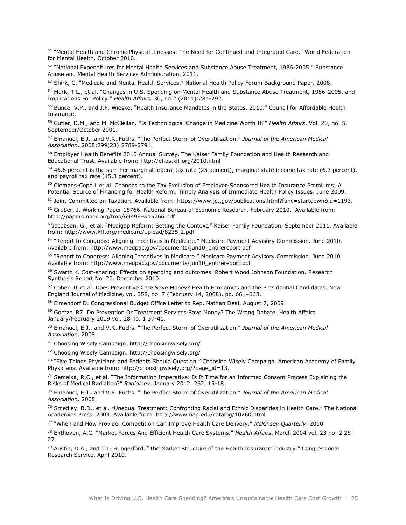<sup>51</sup> "Mental Health and Chronic Physical Illnesses: The Need for Continued and Integrated Care." World Federation for Mental Health. October 2010.

52 "National Expenditures for Mental Health Services and Substance Abuse Treatment, 1986-2005." Substance Abuse and Mental Health Services Administration. 2011.

53 Shirk, C. "Medicaid and Mental Health Services." National Health Policy Forum Background Paper. 2008.

<sup>54</sup> Mark, T.L., et al. "Changes in U.S. Spending on Mental Health and Substance Abuse Treatment, 1986-2005, and Implications For Policy." *Health Affairs*. 30, no.2 (2011):284-292.

<sup>55</sup> Bunce, V.P., and J.P. Wieske. "Health Insurance Mandates in the States, 2010." Council for Affordable Health Insurance.

<sup>56</sup> Cutler, D.M., and M. McClellan. "Is Technological Change in Medicine Worth It?" *Health Affairs*. Vol. 20, no. 5, September/October 2001.

<sup>57</sup> Emanuel, E.J., and V.R. Fuchs. "The Perfect Storm of Overutilization." *Journal of the American Medical Association*. 2008;299(23):2789-2791.

<sup>58</sup> Employer Health Benefits 2010 Annual Survey. The Kaiser Family Foundation and Health Research and Educational Trust. Available from:<http://ehbs.kff.org/2010.html>

 $59$  46.6 percent is the sum her marginal federal tax rate (25 percent), marginal state income tax rate (6.3 percent), and payroll tax rate (15.3 percent).

<sup>60</sup> Clemans-Cope L et al. Changes to the Tax Exclusion of Employer-Sponsored Health Insurance Premiums: A Potential Source of Financing for Health Reform. Timely Analysis of Immediate Health Policy Issues. June 2009.

<sup>61</sup> Joint Committee on Taxation. Available from: [https://www.jct.gov/publications.html?func=startdown&id=1193.](https://www.jct.gov/publications.html?func=startdown&id=1193)

 $62$  Gruber, J. Working Paper 15766. National Bureau of Economic Research. February 2010. Available from: <http://papers.nber.org/tmp/69499-w15766.pdf>

 $63$ Jacobson, G., et al. "Medigap Reform: Setting the Context." Kaiser Family Foundation. September 2011. Available from:<http://www.kff.org/medicare/upload/8235-2.pdf>

<sup>64</sup> "Report to Congress: Aligning Incentives in Medicare." Medicare Payment Advisory Commission. June 2010. Available from: [http://www.medpac.gov/documents/jun10\\_entirereport.pdf](http://www.medpac.gov/documents/jun10_entirereport.pdf)

<sup>65</sup> "Report to Congress: Aligning Incentives in Medicare." Medicare Payment Advisory Commission. June 2010. Available from: [http://www.medpac.gov/documents/jun10\\_entirereport.pdf](http://www.medpac.gov/documents/jun10_entirereport.pdf)

<sup>66</sup> Swartz K. Cost-sharing: Effects on spending and outcomes. Robert Wood Johnson Foundation. Research Synthesis Report No. 20. December 2010.

<sup>67</sup> Cohen JT et al. Does Preventive Care Save Money? Health Economics and the Presidential Candidates. New England Journal of Medicine, vol. 358, no. 7 (February 14, 2008), pp. 661–663.

<sup>68</sup> Elmendorf D. Congressional Budget Office Letter to Rep. Nathan Deal, August 7, 2009.

<sup>69</sup> Goetzel RZ. Do Prevention Or Treatment Services Save Money? The Wrong Debate. Health Affairs, January/February 2009 vol. 28 no. 1 37-41.

<sup>70</sup> Emanuel, E.J., and V.R. Fuchs. "The Perfect Storm of Overutilization." *Journal of the American Medical Association*. 2008.

<sup>71</sup> Choosing Wisely Campaign. http://choosingwisely.org/

<sup>72</sup> Choosing Wisely Campaign. http://choosingwisely.org/

<sup>73</sup> "Five Things Physicians and Patients Should Question." Choosing Wisely Campaign. American Academy of Family Physicians. Available from: http://choosingwisely.org/?page\_id=13.

 $74$  Semelka, R.C., et al. "The Information Imperative: Is It Time for an Informed Consent Process Explaining the Risks of Medical Radiation?" *Radiology*. January 2012, 262, 15-18.

<sup>75</sup> Emanuel, E.J., and V.R. Fuchs. "The Perfect Storm of Overutilization." *Journal of the American Medical Association*. 2008.

 $76$  Smedley, B.D., et al. "Unequal Treatment: Confronting Racial and Ethnic Disparities in Health Care." The National Academies Press. 2003. Available from: http://www.nap.edu/catalog/10260.html

<sup>77</sup> "When and How Provider Competition Can Improve Health Care Delivery." *McKinsey Quarterly*. 2010.

<sup>78</sup> Enthoven, A.C. "Market Forces And Efficient Health Care Systems." *Health Affairs*. March 2004 vol. 23 no. 2 25- 27.

 $79$  Austin, D.A., and T.L. Hungerford. "The Market Structure of the Health Insurance Industry." Congressional Research Service. April 2010.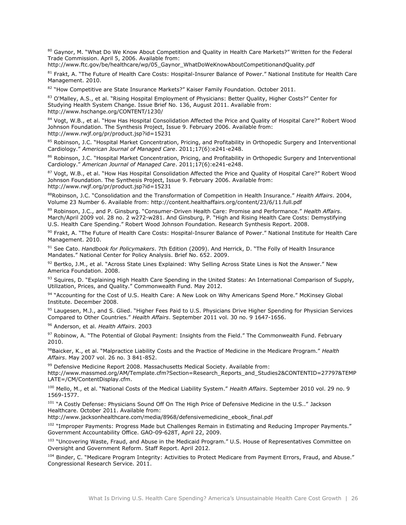80 Gaynor, M. "What Do We Know About Competition and Quality in Health Care Markets?" Written for the Federal Trade Commission. April 5, 2006. Available from:

[http://www.ftc.gov/be/healthcare/wp/05\\_Gaynor\\_WhatDoWeKnowAboutCompetitionandQuality.pdf](http://www.ftc.gov/be/healthcare/wp/05_Gaynor_WhatDoWeKnowAboutCompetitionandQuality.pdf)

81 Frakt, A. "The Future of Health Care Costs: Hospital-Insurer Balance of Power." National Institute for Health Care Management. 2010.

82 "How Competitive are State Insurance Markets?" Kaiser Family Foundation. October 2011.

83 O'Malley, A.S., et al. "Rising Hospital Employment of Physicians: Better Quality, Higher Costs?" Center for Studying Health System Change. Issue Brief No. 136, August 2011. Available from: http://www.hschange.org/CONTENT/1230/

84 Vogt, W.B., et al. "How Has Hospital Consolidation Affected the Price and Quality of Hospital Care?" Robert Wood Johnson Foundation. The Synthesis Project, Issue 9. February 2006. Available from: <http://www.rwjf.org/pr/product.jsp?id=15231>

85 Robinson, J.C. "Hospital Market Concentration, Pricing, and Profitability in Orthopedic Surgery and Interventional Cardiology." *American Journal of Managed Care*. 2011;17(6):e241-e248.

86 Robinson, J.C. "Hospital Market Concentration, Pricing, and Profitability in Orthopedic Surgery and Interventional Cardiology." *American Journal of Managed Care*. 2011;17(6):e241-e248.

<sup>87</sup> Vogt, W.B., et al. "How Has Hospital Consolidation Affected the Price and Quality of Hospital Care?" Robert Wood Johnson Foundation. The Synthesis Project, Issue 9. February 2006. Available from: <http://www.rwjf.org/pr/product.jsp?id=15231>

<sup>88</sup>Robinson, J.C. "Consolidation and the Transformation of Competition in Health Insurance." *Health Affairs*. 2004, Volume 23 Number 6. Available from:<http://content.healthaffairs.org/content/23/6/11.full.pdf>

<sup>89</sup> Robinson, J.C., and P. Ginsburg. "Consumer-Driven Health Care: Promise and Performance." *Health Affairs*. March/April 2009 vol. 28 no. 2 w272-w281. And Ginsburg, P. "High and Rising Health Care Costs: Demystifying U.S. Health Care Spending." Robert Wood Johnson Foundation. Research Synthesis Report. 2008.

90 Frakt, A. "The Future of Health Care Costs: Hospital-Insurer Balance of Power." National Institute for Health Care Management. 2010.

<sup>91</sup> See Cato. *Handbook for Policymakers*. 7th Edition (2009). And Herrick, D. "The Folly of Health Insurance Mandates." National Center for Policy Analysis. Brief No. 652. 2009.

92 Bertko, J.M., et al. "Across State Lines Explained: Why Selling Across State Lines is Not the Answer." New America Foundation. 2008.

93 Squires, D. "Explaining High Health Care Spending in the United States: An International Comparison of Supply, Utilization, Prices, and Quality." Commonwealth Fund. May 2012.

94 "Accounting for the Cost of U.S. Health Care: A New Look on Why Americans Spend More." McKinsey Global Institute. December 2008.

<sup>95</sup> Laugesen, M.J., and S. Glied. "Higher Fees Paid to U.S. Physicians Drive Higher Spending for Physician Services Compared to Other Countries." *Health Affairs*. September 2011 vol. 30 no. 9 1647-1656.

<sup>96</sup> Anderson, et al. *Health Affairs*. 2003

97 Robinow, A. "The Potential of Global Payment: Insights from the Field." The Commonwealth Fund. February 2010.

<sup>98</sup>Baicker, K., et al. "Malpractice Liability Costs and the Practice of Medicine in the Medicare Program." *Health Affairs*. May 2007 vol. 26 no. 3 841-852.

<sup>99</sup> Defensive Medicine Report 2008. Massachusetts Medical Society. Available from: [http://www.massmed.org/AM/Template.cfm?Section=Research\\_Reports\\_and\\_Studies2&CONTENTID=27797&TEMP](http://www.massmed.org/AM/Template.cfm?Section=Research_Reports_and_Studies2&CONTENTID=27797&TEMPLATE=/CM/ContentDisplay.cfm) [LATE=/CM/ContentDisplay.cfm.](http://www.massmed.org/AM/Template.cfm?Section=Research_Reports_and_Studies2&CONTENTID=27797&TEMPLATE=/CM/ContentDisplay.cfm)

<sup>100</sup> Mello, M., et al. "National Costs of the Medical Liability System." *Health Affairs*. September 2010 vol. 29 no. 9 1569-1577.

<sup>101</sup> "A Costly Defense: Physicians Sound Off On The High Price of Defensive Medicine in the U.S.." Jackson Healthcare. October 2011. Available from:

http://www.jacksonhealthcare.com/media/8968/defensivemedicine\_ebook\_final.pdf

<sup>102</sup> "Improper Payments: Progress Made but Challenges Remain in Estimating and Reducing Improper Payments." Government Accountability Office. GAO-09-628T, April 22, 2009.

103 "Uncovering Waste, Fraud, and Abuse in the Medicaid Program." U.S. House of Representatives Committee on Oversight and Government Reform. Staff Report. April 2012.

104 Binder, C. "Medicare Program Integrity: Activities to Protect Medicare from Payment Errors, Fraud, and Abuse." Congressional Research Service. 2011.